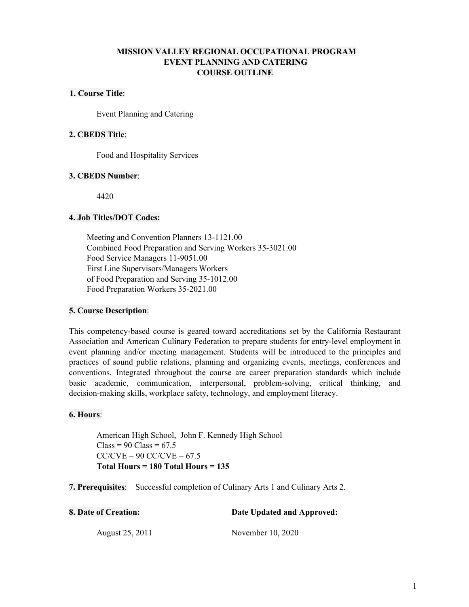# **MISSION VALLEY REGIONAL OCCUPATIONAL PROGRAM EVENT PLANNING AND CATERING COURSE OUTLINE**

# **1. Course Title**:

Event Planning and Catering

# **2. CBEDS Title**:

Food and Hospitality Services

# **3. CBEDS Number**:

4420

# **4. Job Titles/DOT Codes:**

Meeting and Convention Planners 13-1121.00 Combined Food Preparation and Serving Workers 35-3021.00 Food Service Managers 11-9051.00 First Line Supervisors/Managers Workers of Food Preparation and Serving 35-1012.00 Food Preparation Workers 35-2021.00

# **5. Course Description**:

This competency-based course is geared toward accreditations set by the California Restaurant Association and American Culinary Federation to prepare students for entry-level employment in event planning and/or meeting management. Students will be introduced to the principles and practices of sound public relations, planning and organizing events, meetings, conferences and conventions. Integrated throughout the course are career preparation standards which include basic academic, communication, interpersonal, problem-solving, critical thinking, and decision-making skills, workplace safety, technology, and employment literacy.

# **6. Hours**:

American High School, John F. Kennedy High School  $Class = 90 Class = 67.5$  $CC/CVE = 90 CC/CVE = 67.5$ **Total Hours = 180 Total Hours = 135**

**7. Prerequisites**: Successful completion of Culinary Arts 1 and Culinary Arts 2.

| <b>8. Date of Creation:</b> | Date Updated and Approved: |
|-----------------------------|----------------------------|
| August 25, 2011             | November 10, 2020          |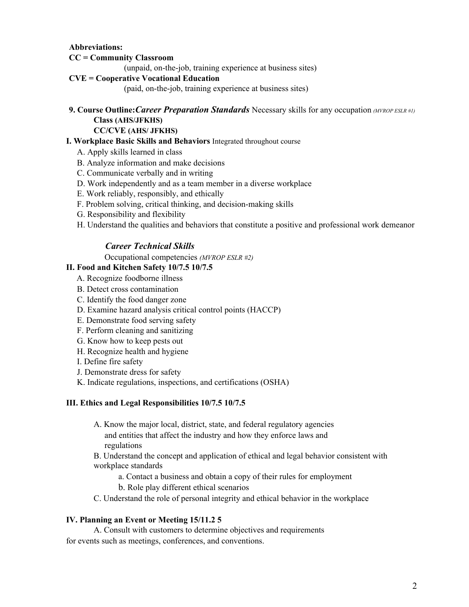# **Abbreviations:**

# **CC = Community Classroom**

(unpaid, on-the-job, training experience at business sites)

# **CVE = Cooperative Vocational Education**

(paid, on-the-job, training experience at business sites)

# **9. Course Outline:***Career Preparation Standards* Necessary skills for any occupation *(MVROP ESLR #1)* **Class (AHS/JFKHS)**

# **CC/CVE (AHS/ JFKHS)**

## **I. Workplace Basic Skills and Behaviors** Integrated throughout course

- A. Apply skills learned in class
- B. Analyze information and make decisions
- C. Communicate verbally and in writing
- D. Work independently and as a team member in a diverse workplace
- E. Work reliably, responsibly, and ethically
- F. Problem solving, critical thinking, and decision-making skills
- G. Responsibility and flexibility
- H. Understand the qualities and behaviors that constitute a positive and professional work demeanor

# *Career Technical Skills*

Occupational competencies *(MVROP ESLR #2)*

## **II. Food and Kitchen Safety 10/7.5 10/7.5**

- A. Recognize foodborne illness
- B. Detect cross contamination
- C. Identify the food danger zone
- D. Examine hazard analysis critical control points (HACCP)
- E. Demonstrate food serving safety
- F. Perform cleaning and sanitizing
- G. Know how to keep pests out
- H. Recognize health and hygiene
- I. Define fire safety
- J. Demonstrate dress for safety
- K. Indicate regulations, inspections, and certifications (OSHA)

#### **III. Ethics and Legal Responsibilities 10/7.5 10/7.5**

A. Know the major local, district, state, and federal regulatory agencies and entities that affect the industry and how they enforce laws and regulations

B. Understand the concept and application of ethical and legal behavior consistent with workplace standards

- a. Contact a business and obtain a copy of their rules for employment
- b. Role play different ethical scenarios
- C. Understand the role of personal integrity and ethical behavior in the workplace

#### **IV. Planning an Event or Meeting 15/11.2 5**

A. Consult with customers to determine objectives and requirements for events such as meetings, conferences, and conventions.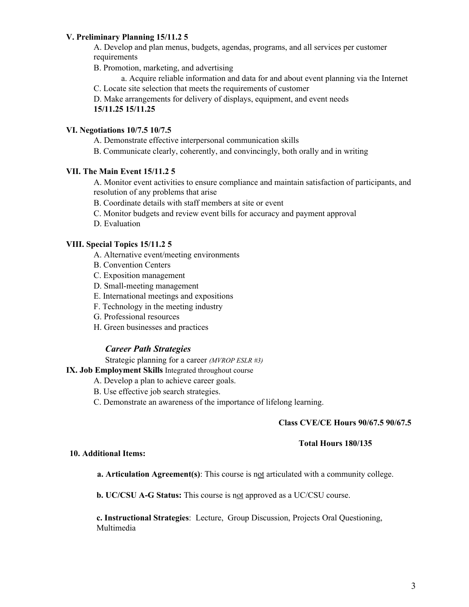# **V. Preliminary Planning 15/11.2 5**

A. Develop and plan menus, budgets, agendas, programs, and all services per customer requirements

B. Promotion, marketing, and advertising

a. Acquire reliable information and data for and about event planning via the Internet

C. Locate site selection that meets the requirements of customer

D. Make arrangements for delivery of displays, equipment, and event needs **15/11.25 15/11.25**

# **VI. Negotiations 10/7.5 10/7.5**

A. Demonstrate effective interpersonal communication skills

B. Communicate clearly, coherently, and convincingly, both orally and in writing

# **VII. The Main Event 15/11.2 5**

A. Monitor event activities to ensure compliance and maintain satisfaction of participants, and resolution of any problems that arise

B. Coordinate details with staff members at site or event

C. Monitor budgets and review event bills for accuracy and payment approval

D. Evaluation

# **VIII. Special Topics 15/11.2 5**

- A. Alternative event/meeting environments
- B. Convention Centers
- C. Exposition management
- D. Small-meeting management
- E. International meetings and expositions
- F. Technology in the meeting industry
- G. Professional resources
- H. Green businesses and practices

# *Career Path Strategies*

Strategic planning for a career *(MVROP ESLR #3)*

**IX. Job Employment Skills** Integrated throughout course

- A. Develop a plan to achieve career goals.
- B. Use effective job search strategies.
- C. Demonstrate an awareness of the importance of lifelong learning.

# **Class CVE/CE Hours 90/67.5 90/67.5**

# **Total Hours 180/135**

## **10. Additional Items:**

**a. Articulation Agreement(s)**: This course is not articulated with a community college.

**b. UC/CSU A-G Status:** This course is not approved as a UC/CSU course.

**c. Instructional Strategies**: Lecture, Group Discussion, Projects Oral Questioning, Multimedia